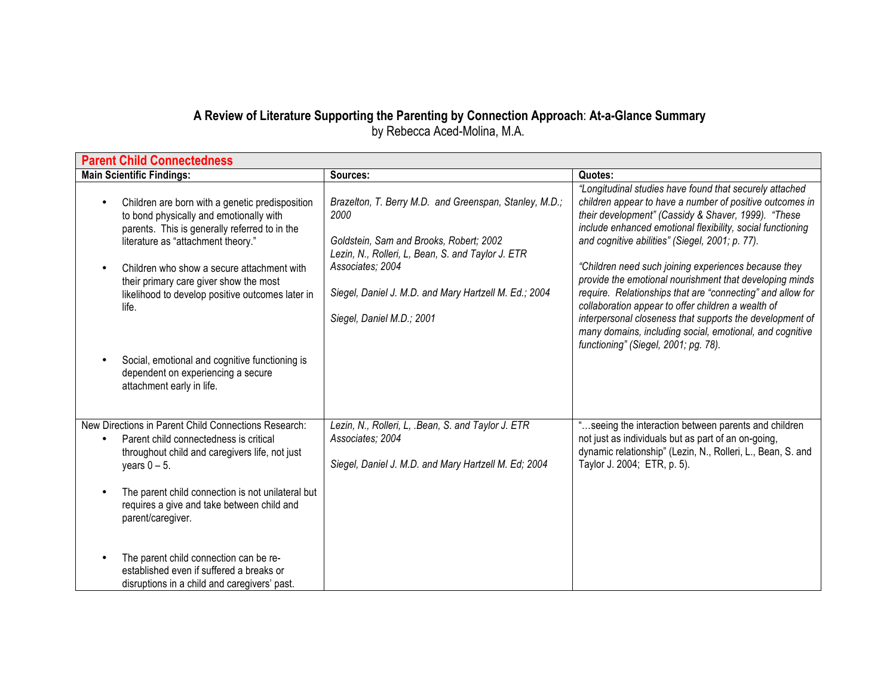## **A Review of Literature Supporting the Parenting by Connection Approach**: **At-a-Glance Summary** by Rebecca Aced-Molina, M.A.

| <b>Parent Child Connectedness</b>                                                                                                                                                                                               |                                                                                                                                                                                    |                                                                                                                                                                                                                                                                                                                                                     |  |
|---------------------------------------------------------------------------------------------------------------------------------------------------------------------------------------------------------------------------------|------------------------------------------------------------------------------------------------------------------------------------------------------------------------------------|-----------------------------------------------------------------------------------------------------------------------------------------------------------------------------------------------------------------------------------------------------------------------------------------------------------------------------------------------------|--|
| <b>Main Scientific Findings:</b>                                                                                                                                                                                                | Sources:                                                                                                                                                                           | Quotes:                                                                                                                                                                                                                                                                                                                                             |  |
| Children are born with a genetic predisposition<br>to bond physically and emotionally with<br>parents. This is generally referred to in the<br>literature as "attachment theory."<br>Children who show a secure attachment with | Brazelton, T. Berry M.D. and Greenspan, Stanley, M.D.;<br>2000<br>Goldstein, Sam and Brooks, Robert; 2002<br>Lezin, N., Rolleri, L, Bean, S. and Taylor J. ETR<br>Associates; 2004 | "Longitudinal studies have found that securely attached<br>children appear to have a number of positive outcomes in<br>their development" (Cassidy & Shaver, 1999). "These<br>include enhanced emotional flexibility, social functioning<br>and cognitive abilities" (Siegel, 2001; p. 77).<br>"Children need such joining experiences because they |  |
| their primary care giver show the most<br>likelihood to develop positive outcomes later in<br>life.                                                                                                                             | Siegel, Daniel J. M.D. and Mary Hartzell M. Ed.; 2004<br>Siegel, Daniel M.D.; 2001                                                                                                 | provide the emotional nourishment that developing minds<br>require. Relationships that are "connecting" and allow for<br>collaboration appear to offer children a wealth of<br>interpersonal closeness that supports the development of<br>many domains, including social, emotional, and cognitive<br>functioning" (Siegel, 2001; pg. 78).         |  |
| Social, emotional and cognitive functioning is<br>dependent on experiencing a secure<br>attachment early in life.                                                                                                               |                                                                                                                                                                                    |                                                                                                                                                                                                                                                                                                                                                     |  |
| New Directions in Parent Child Connections Research:<br>Parent child connectedness is critical<br>throughout child and caregivers life, not just<br>years $0 - 5$ .<br>The parent child connection is not unilateral but        | Lezin, N., Rolleri, L, .Bean, S. and Taylor J. ETR<br>Associates; 2004<br>Siegel, Daniel J. M.D. and Mary Hartzell M. Ed; 2004                                                     | "seeing the interaction between parents and children<br>not just as individuals but as part of an on-going,<br>dynamic relationship" (Lezin, N., Rolleri, L., Bean, S. and<br>Taylor J. 2004; ETR, p. 5).                                                                                                                                           |  |
| requires a give and take between child and<br>parent/caregiver.<br>The parent child connection can be re-<br>established even if suffered a breaks or<br>disruptions in a child and caregivers' past.                           |                                                                                                                                                                                    |                                                                                                                                                                                                                                                                                                                                                     |  |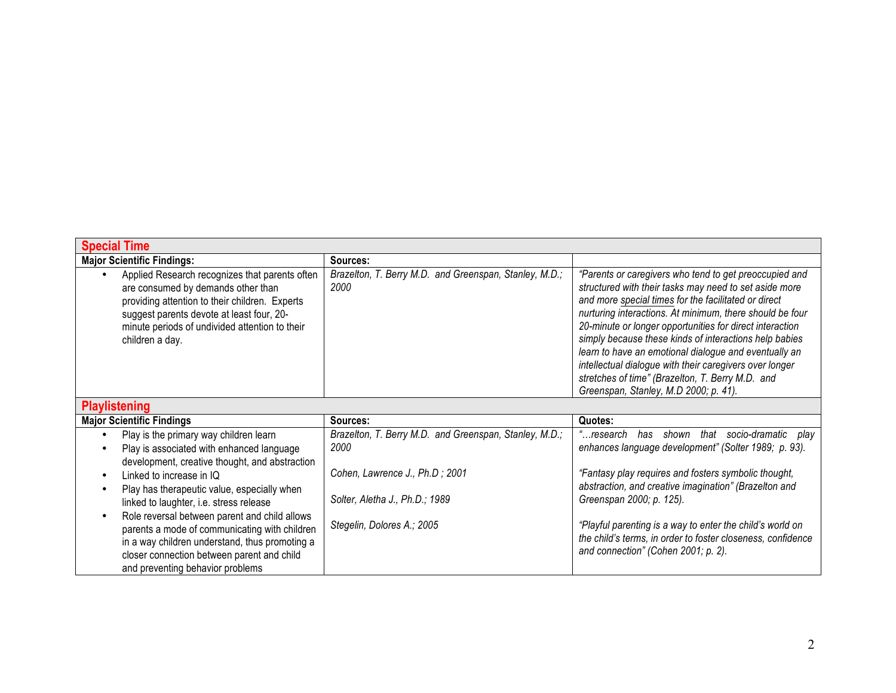| <b>Special Time</b>                                                                                                                                                                                                                                                                                                                                                                                                                                                                                                 |                                                                                                                                                                  |                                                                                                                                                                                                                                                                                                                                                                                                                                                                                                                                                                             |
|---------------------------------------------------------------------------------------------------------------------------------------------------------------------------------------------------------------------------------------------------------------------------------------------------------------------------------------------------------------------------------------------------------------------------------------------------------------------------------------------------------------------|------------------------------------------------------------------------------------------------------------------------------------------------------------------|-----------------------------------------------------------------------------------------------------------------------------------------------------------------------------------------------------------------------------------------------------------------------------------------------------------------------------------------------------------------------------------------------------------------------------------------------------------------------------------------------------------------------------------------------------------------------------|
| <b>Major Scientific Findings:</b>                                                                                                                                                                                                                                                                                                                                                                                                                                                                                   | Sources:                                                                                                                                                         |                                                                                                                                                                                                                                                                                                                                                                                                                                                                                                                                                                             |
| Applied Research recognizes that parents often<br>are consumed by demands other than<br>providing attention to their children. Experts<br>suggest parents devote at least four, 20-<br>minute periods of undivided attention to their<br>children a day.                                                                                                                                                                                                                                                            | Brazelton, T. Berry M.D. and Greenspan, Stanley, M.D.;<br>2000                                                                                                   | "Parents or caregivers who tend to get preoccupied and<br>structured with their tasks may need to set aside more<br>and more special times for the facilitated or direct<br>nurturing interactions. At minimum, there should be four<br>20-minute or longer opportunities for direct interaction<br>simply because these kinds of interactions help babies<br>learn to have an emotional dialogue and eventually an<br>intellectual dialogue with their caregivers over longer<br>stretches of time" (Brazelton, T. Berry M.D. and<br>Greenspan, Stanley, M.D 2000; p. 41). |
| <b>Playlistening</b>                                                                                                                                                                                                                                                                                                                                                                                                                                                                                                |                                                                                                                                                                  |                                                                                                                                                                                                                                                                                                                                                                                                                                                                                                                                                                             |
| <b>Major Scientific Findings</b>                                                                                                                                                                                                                                                                                                                                                                                                                                                                                    | Sources:                                                                                                                                                         | Quotes:                                                                                                                                                                                                                                                                                                                                                                                                                                                                                                                                                                     |
| Play is the primary way children learn<br>$\bullet$<br>Play is associated with enhanced language<br>development, creative thought, and abstraction<br>Linked to increase in IQ<br>٠<br>Play has therapeutic value, especially when<br>linked to laughter, i.e. stress release<br>Role reversal between parent and child allows<br>parents a mode of communicating with children<br>in a way children understand, thus promoting a<br>closer connection between parent and child<br>and preventing behavior problems | Brazelton, T. Berry M.D. and Greenspan, Stanley, M.D.;<br>2000<br>Cohen, Lawrence J., Ph.D; 2001<br>Solter, Aletha J., Ph.D.; 1989<br>Stegelin, Dolores A.; 2005 | that socio-dramatic play<br>"…research<br>has shown<br>enhances language development" (Solter 1989; p. 93).<br>"Fantasy play requires and fosters symbolic thought,<br>abstraction, and creative imagination" (Brazelton and<br>Greenspan 2000; p. 125).<br>"Playful parenting is a way to enter the child's world on<br>the child's terms, in order to foster closeness, confidence<br>and connection" (Cohen 2001; p. 2).                                                                                                                                                 |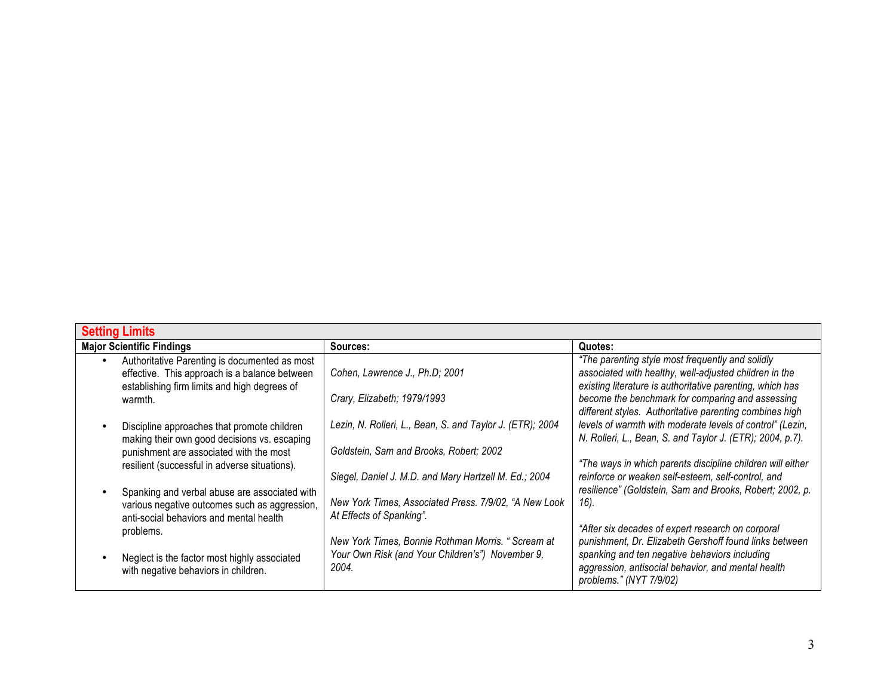| <b>Setting Limits</b>                                                                                                                                       |                                                                                                  |                                                                                                                                                                         |
|-------------------------------------------------------------------------------------------------------------------------------------------------------------|--------------------------------------------------------------------------------------------------|-------------------------------------------------------------------------------------------------------------------------------------------------------------------------|
| <b>Major Scientific Findings</b>                                                                                                                            | Sources:                                                                                         | Quotes:                                                                                                                                                                 |
| Authoritative Parenting is documented as most<br>$\bullet$<br>effective. This approach is a balance between<br>establishing firm limits and high degrees of | Cohen, Lawrence J., Ph.D; 2001                                                                   | "The parenting style most frequently and solidly<br>associated with healthy, well-adjusted children in the<br>existing literature is authoritative parenting, which has |
| warmth.                                                                                                                                                     | Crary, Elizabeth; 1979/1993                                                                      | become the benchmark for comparing and assessing<br>different styles. Authoritative parenting combines high                                                             |
| Discipline approaches that promote children<br>making their own good decisions vs. escaping                                                                 | Lezin, N. Rolleri, L., Bean, S. and Taylor J. (ETR); 2004                                        | levels of warmth with moderate levels of control" (Lezin,<br>N. Rolleri, L., Bean, S. and Taylor J. (ETR); 2004, p.7).                                                  |
| punishment are associated with the most<br>resilient (successful in adverse situations).                                                                    | Goldstein, Sam and Brooks, Robert; 2002<br>Siegel, Daniel J. M.D. and Mary Hartzell M. Ed.; 2004 | "The ways in which parents discipline children will either<br>reinforce or weaken self-esteem, self-control, and                                                        |
| Spanking and verbal abuse are associated with<br>various negative outcomes such as aggression,<br>anti-social behaviors and mental health                   | New York Times, Associated Press. 7/9/02, "A New Look<br>At Effects of Spanking".                | resilience" (Goldstein, Sam and Brooks, Robert; 2002, p.<br>16).                                                                                                        |
| problems.                                                                                                                                                   | New York Times, Bonnie Rothman Morris. "Scream at                                                | "After six decades of expert research on corporal<br>punishment, Dr. Elizabeth Gershoff found links between                                                             |
| Neglect is the factor most highly associated<br>with negative behaviors in children.                                                                        | Your Own Risk (and Your Children's") November 9,<br>2004.                                        | spanking and ten negative behaviors including<br>aggression, antisocial behavior, and mental health<br>problems." (NYT 7/9/02)                                          |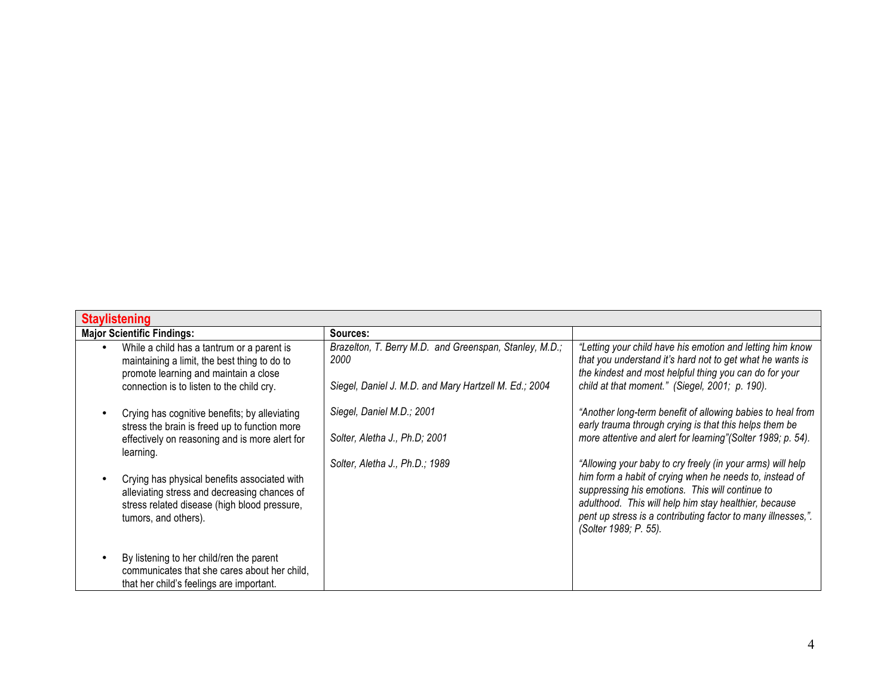| <b>Staylistening</b>                                                                                                                                                             |                                                                                                                         |                                                                                                                                                                                                                                                              |
|----------------------------------------------------------------------------------------------------------------------------------------------------------------------------------|-------------------------------------------------------------------------------------------------------------------------|--------------------------------------------------------------------------------------------------------------------------------------------------------------------------------------------------------------------------------------------------------------|
| <b>Major Scientific Findings:</b>                                                                                                                                                | Sources:                                                                                                                |                                                                                                                                                                                                                                                              |
| While a child has a tantrum or a parent is<br>maintaining a limit, the best thing to do to<br>promote learning and maintain a close<br>connection is to listen to the child cry. | Brazelton, T. Berry M.D. and Greenspan, Stanley, M.D.;<br>2000<br>Siegel, Daniel J. M.D. and Mary Hartzell M. Ed.; 2004 | "Letting your child have his emotion and letting him know<br>that you understand it's hard not to get what he wants is<br>the kindest and most helpful thing you can do for your<br>child at that moment." (Siegel, 2001; p. 190).                           |
| Crying has cognitive benefits; by alleviating<br>stress the brain is freed up to function more<br>effectively on reasoning and is more alert for<br>learning.                    | Siegel, Daniel M.D.; 2001<br>Solter, Aletha J., Ph.D; 2001<br>Solter, Aletha J., Ph.D.; 1989                            | "Another long-term benefit of allowing babies to heal from<br>early trauma through crying is that this helps them be<br>more attentive and alert for learning" (Solter 1989; p. 54).<br>"Allowing your baby to cry freely (in your arms) will help           |
| Crying has physical benefits associated with<br>alleviating stress and decreasing chances of<br>stress related disease (high blood pressure,<br>tumors, and others).             |                                                                                                                         | him form a habit of crying when he needs to, instead of<br>suppressing his emotions. This will continue to<br>adulthood. This will help him stay healthier, because<br>pent up stress is a contributing factor to many illnesses,".<br>(Solter 1989; P. 55). |
| By listening to her child/ren the parent<br>communicates that she cares about her child,<br>that her child's feelings are important.                                             |                                                                                                                         |                                                                                                                                                                                                                                                              |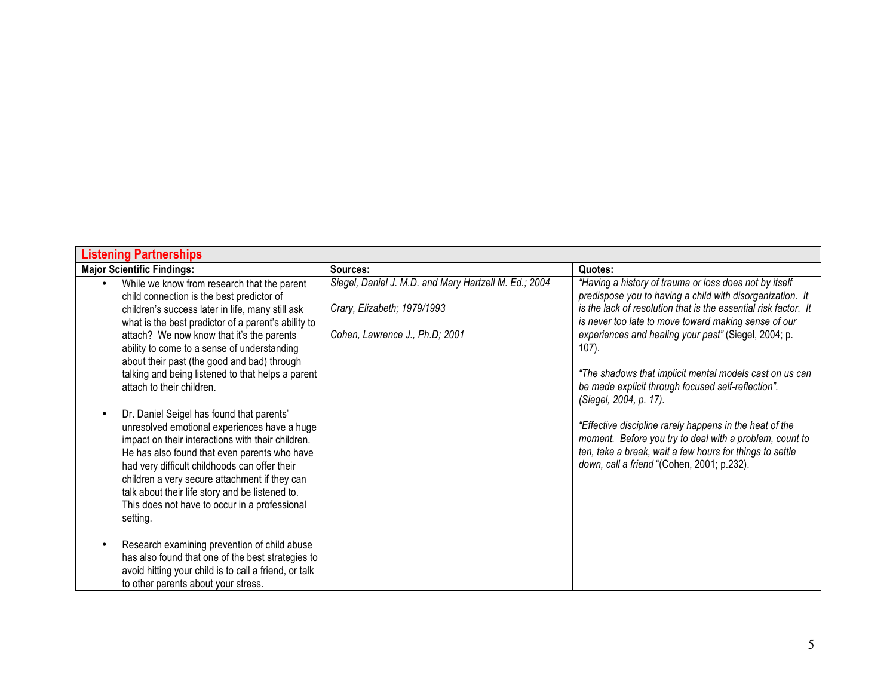| <b>Listening Partnerships</b>                                                                                                                                                                                                                                                                                                                                                                                                                                                                                                                                                                                                                                                                                                                                                                                                                        |                                                                                                                        |                                                                                                                                                                                                                                                                                                                                                                                                                                                                                                                                                                                                                                                                                            |
|------------------------------------------------------------------------------------------------------------------------------------------------------------------------------------------------------------------------------------------------------------------------------------------------------------------------------------------------------------------------------------------------------------------------------------------------------------------------------------------------------------------------------------------------------------------------------------------------------------------------------------------------------------------------------------------------------------------------------------------------------------------------------------------------------------------------------------------------------|------------------------------------------------------------------------------------------------------------------------|--------------------------------------------------------------------------------------------------------------------------------------------------------------------------------------------------------------------------------------------------------------------------------------------------------------------------------------------------------------------------------------------------------------------------------------------------------------------------------------------------------------------------------------------------------------------------------------------------------------------------------------------------------------------------------------------|
| <b>Major Scientific Findings:</b>                                                                                                                                                                                                                                                                                                                                                                                                                                                                                                                                                                                                                                                                                                                                                                                                                    | Sources:                                                                                                               | Quotes:                                                                                                                                                                                                                                                                                                                                                                                                                                                                                                                                                                                                                                                                                    |
| While we know from research that the parent<br>child connection is the best predictor of<br>children's success later in life, many still ask<br>what is the best predictor of a parent's ability to<br>attach? We now know that it's the parents<br>ability to come to a sense of understanding<br>about their past (the good and bad) through<br>talking and being listened to that helps a parent<br>attach to their children.<br>Dr. Daniel Seigel has found that parents'<br>unresolved emotional experiences have a huge<br>impact on their interactions with their children.<br>He has also found that even parents who have<br>had very difficult childhoods can offer their<br>children a very secure attachment if they can<br>talk about their life story and be listened to.<br>This does not have to occur in a professional<br>setting. | Siegel, Daniel J. M.D. and Mary Hartzell M. Ed.; 2004<br>Crary, Elizabeth; 1979/1993<br>Cohen, Lawrence J., Ph.D; 2001 | "Having a history of trauma or loss does not by itself<br>predispose you to having a child with disorganization. It<br>is the lack of resolution that is the essential risk factor. It<br>is never too late to move toward making sense of our<br>experiences and healing your past" (Siegel, 2004; p.<br>107).<br>"The shadows that implicit mental models cast on us can<br>be made explicit through focused self-reflection".<br>(Siegel, 2004, p. 17).<br>"Effective discipline rarely happens in the heat of the<br>moment. Before you try to deal with a problem, count to<br>ten, take a break, wait a few hours for things to settle<br>down, call a friend "(Cohen, 2001; p.232). |
| Research examining prevention of child abuse<br>has also found that one of the best strategies to<br>avoid hitting your child is to call a friend, or talk<br>to other parents about your stress.                                                                                                                                                                                                                                                                                                                                                                                                                                                                                                                                                                                                                                                    |                                                                                                                        |                                                                                                                                                                                                                                                                                                                                                                                                                                                                                                                                                                                                                                                                                            |